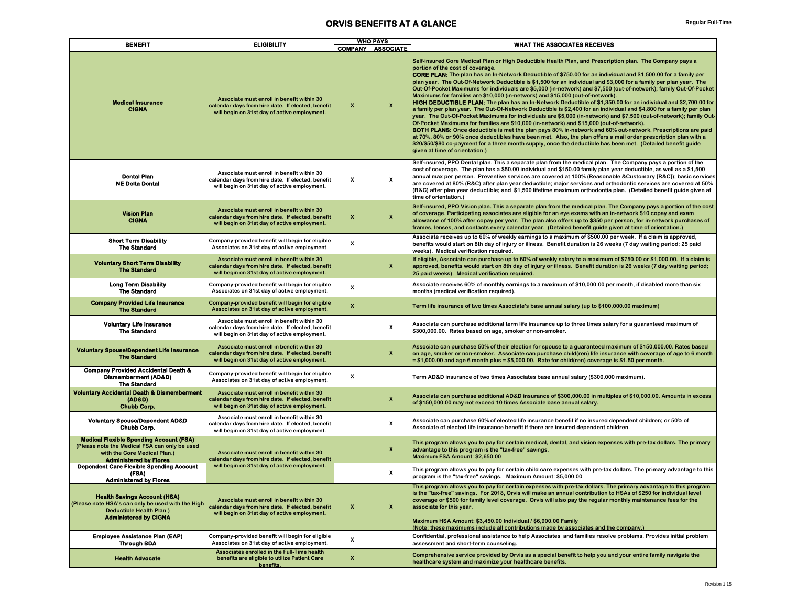## **ORVIS BENEFITS AT A GLANCE** *Regular Full-Time*

| <b>BENEFIT</b>                                                                                                                                                   | <b>ELIGIBILITY</b>                                                                                                                                                                                                                         |                           | <b>WHO PAYS</b><br><b>COMPANY   ASSOCIATE</b> | <b>WHAT THE ASSOCIATES RECEIVES</b>                                                                                                                                                                                                                                                                                                                                                                                                                                                                                                                                                                                                                                                                                                                                                                                                                                                                                                                                                                                                                                                                                                                                                                                                                                                                                                                                                                                                                               |
|------------------------------------------------------------------------------------------------------------------------------------------------------------------|--------------------------------------------------------------------------------------------------------------------------------------------------------------------------------------------------------------------------------------------|---------------------------|-----------------------------------------------|-------------------------------------------------------------------------------------------------------------------------------------------------------------------------------------------------------------------------------------------------------------------------------------------------------------------------------------------------------------------------------------------------------------------------------------------------------------------------------------------------------------------------------------------------------------------------------------------------------------------------------------------------------------------------------------------------------------------------------------------------------------------------------------------------------------------------------------------------------------------------------------------------------------------------------------------------------------------------------------------------------------------------------------------------------------------------------------------------------------------------------------------------------------------------------------------------------------------------------------------------------------------------------------------------------------------------------------------------------------------------------------------------------------------------------------------------------------------|
|                                                                                                                                                                  |                                                                                                                                                                                                                                            |                           |                                               |                                                                                                                                                                                                                                                                                                                                                                                                                                                                                                                                                                                                                                                                                                                                                                                                                                                                                                                                                                                                                                                                                                                                                                                                                                                                                                                                                                                                                                                                   |
| <b>Medical Insurance</b><br><b>CIGNA</b>                                                                                                                         | Associate must enroll in benefit within 30<br>calendar days from hire date. If elected, benefit<br>will begin on 31st day of active employment.                                                                                            | $\boldsymbol{\mathsf{x}}$ | $\boldsymbol{\mathsf{x}}$                     | Self-insured Core Medical Plan or High Deductible Health Plan, and Prescription plan. The Company pays a<br>portion of the cost of coverage.<br><b>CORE PLAN:</b> The plan has an In-Network Deductible of \$750.00 for an individual and \$1,500.00 for a family per<br>plan year. The Out-Of-Network Deductible is \$1,500 for an individual and \$3,000 for a family per plan year. The<br>Out-Of-Pocket Maximums for individuals are \$5,000 (in-network) and \$7,500 (out-of-network); family Out-Of-Pocket<br>Maximums for families are \$10,000 (in-network) and \$15,000 (out-of-network).<br><b>HIGH DEDUCTIBLE PLAN:</b> The plan has an In-Network Deductible of \$1,350.00 for an individual and \$2,700.00 for<br>a family per plan year. The Out-Of-Network Deductible is \$2,400 for an individual and \$4,800 for a family per plan<br>year. The Out-Of-Pocket Maximums for individuals are \$5,000 (in-network) and \$7,500 (out-of-network); family Out-<br>Of-Pocket Maximums for families are \$10,000 (in-network) and \$15,000 (out-of-network).<br><b>BOTH PLANS:</b> Once deductible is met the plan pays 80% in-network and 60% out-network. Prescriptions are paid<br>at 70%, 80% or 90% once deductibles have been met. Also, the plan offers a mail order prescription plan with a<br>\$20/\$50/\$80 co-payment for a three month supply, once the deductible has been met. (Detailed benefit guide<br>given at time of orientation.) |
| <b>Dental Plan</b><br><b>NE Delta Dental</b>                                                                                                                     | Associate must enroll in benefit within 30<br>calendar days from hire date. If elected, benefit<br>will begin on 31st day of active employment.                                                                                            | x                         | x                                             | Self-insured, PPO Dental plan. This a separate plan from the medical plan. The Company pays a portion of the<br>cost of coverage. The plan has a \$50.00 individual and \$150.00 family plan year deductible, as well as a \$1,500<br>annual max per person. Preventive services are covered at 100% (Reasonable & Customary [R&C]); basic services<br>are covered at 80% (R&C) after plan year deductible; major services and orthodontic services are covered at 50%<br>(R&C) after plan year deductible; and \$1,500 lifetime maximum orthodontia plan. (Detailed benefit guide given at<br>time of orientation.)                                                                                                                                                                                                                                                                                                                                                                                                                                                                                                                                                                                                                                                                                                                                                                                                                                              |
| <b>Vision Plan</b><br><b>CIGNA</b>                                                                                                                               | Associate must enroll in benefit within 30<br>calendar days from hire date. If elected, benefit<br>will begin on 31st day of active employment.                                                                                            | $\boldsymbol{\mathsf{x}}$ | $\pmb{\times}$                                | Self-insured, PPO Vision plan. This a separate plan from the medical plan. The Company pays a portion of the cost<br>of coverage. Participating associates are eligible for an eye exams with an in-network \$10 copay and exam<br>allowance of 100% after copay per year. The plan also offers up to \$350 per person, for in-network purchases of<br>frames, lenses, and contacts every calendar year. (Detailed benefit guide given at time of orientation.)                                                                                                                                                                                                                                                                                                                                                                                                                                                                                                                                                                                                                                                                                                                                                                                                                                                                                                                                                                                                   |
| <b>Short Term Disability</b><br><b>The Standard</b>                                                                                                              | Company-provided benefit will begin for eligible<br>Associates on 31st day of active employment.                                                                                                                                           | x                         |                                               | Associate receives up to 60% of weekly earnings to a maximum of \$500.00 per week. If a claim is approved,<br>benefits would start on 8th day of injury or illness. Benefit duration is 26 weeks (7 day waiting period; 25 paid<br>weeks). Medical verification required.                                                                                                                                                                                                                                                                                                                                                                                                                                                                                                                                                                                                                                                                                                                                                                                                                                                                                                                                                                                                                                                                                                                                                                                         |
| <b>Voluntary Short Term Disability</b><br><b>The Standard</b>                                                                                                    | Associate must enroll in benefit within 30<br>calendar days from hire date. If elected, benefit<br>will begin on 31st day of active employment.                                                                                            |                           | $\pmb{\times}$                                | If eligible, Associate can purchase up to 60% of weekly salary to a maximum of \$750.00 or \$1,000.00. If a claim is<br>approved, benefits would start on 8th day of injury or illness. Benefit duration is 26 weeks (7 day waiting period;<br>25 paid weeks). Medical verification required.                                                                                                                                                                                                                                                                                                                                                                                                                                                                                                                                                                                                                                                                                                                                                                                                                                                                                                                                                                                                                                                                                                                                                                     |
| <b>Long Term Disability</b><br><b>The Standard</b>                                                                                                               | Company-provided benefit will begin for eligible<br>Associates on 31st day of active employment.                                                                                                                                           | х                         |                                               | Associate receives 60% of monthly earnings to a maximum of \$10,000.00 per month, if disabled more than six<br>months (medical verification required).                                                                                                                                                                                                                                                                                                                                                                                                                                                                                                                                                                                                                                                                                                                                                                                                                                                                                                                                                                                                                                                                                                                                                                                                                                                                                                            |
| <b>Company Provided Life Insurance</b><br><b>The Standard</b>                                                                                                    | Company-provided benefit will begin for eligible<br>Associates on 31st day of active employment.                                                                                                                                           | $\boldsymbol{x}$          |                                               | Term life insurance of two times Associate's base annual salary (up to \$100,000.00 maximum)                                                                                                                                                                                                                                                                                                                                                                                                                                                                                                                                                                                                                                                                                                                                                                                                                                                                                                                                                                                                                                                                                                                                                                                                                                                                                                                                                                      |
| <b>Voluntary Life Insurance</b><br><b>The Standard</b>                                                                                                           | Associate must enroll in benefit within 30<br>calendar days from hire date. If elected, benefit<br>will begin on 31st day of active employment.                                                                                            |                           | x                                             | Associate can purchase additional term life insurance up to three times salary for a guaranteed maximum of<br>\$300,000.00. Rates based on age, smoker or non-smoker.                                                                                                                                                                                                                                                                                                                                                                                                                                                                                                                                                                                                                                                                                                                                                                                                                                                                                                                                                                                                                                                                                                                                                                                                                                                                                             |
| Voluntary Spouse/Dependent Life Insurance<br><b>The Standard</b>                                                                                                 | Associate must enroll in benefit within 30<br>calendar days from hire date. If elected, benefit<br>will begin on 31st day of active employment.                                                                                            |                           | $\boldsymbol{x}$                              | Associate can purchase 50% of their election for spouse to a guaranteed maximum of \$150,000.00. Rates based<br>on age, smoker or non-smoker. Associate can purchase child(ren) life insurance with coverage of age to 6 month<br>= \$1,000.00 and age 6 month plus = \$5,000.00. Rate for child(ren) coverage is \$1.50 per month.                                                                                                                                                                                                                                                                                                                                                                                                                                                                                                                                                                                                                                                                                                                                                                                                                                                                                                                                                                                                                                                                                                                               |
| <b>Company Provided Accidental Death &amp;</b><br><b>Dismemberment (AD&amp;D)</b><br><b>The Standard</b>                                                         | Company-provided benefit will begin for eligible<br>Associates on 31st day of active employment.                                                                                                                                           | x                         |                                               | Term AD&D insurance of two times Associates base annual salary (\$300,000 maximum).                                                                                                                                                                                                                                                                                                                                                                                                                                                                                                                                                                                                                                                                                                                                                                                                                                                                                                                                                                                                                                                                                                                                                                                                                                                                                                                                                                               |
| <b>Voluntary Accidental Death &amp; Dismemberment</b><br>(AD&D)<br><b>Chubb Corp.</b>                                                                            | Associate must enroll in benefit within 30<br>calendar days from hire date. If elected, benefit<br>will begin on 31st day of active employment.                                                                                            |                           | $\boldsymbol{x}$                              | Associate can purchase additional AD&D insurance of \$300,000.00 in multiples of \$10,000.00. Amounts in excess<br>of \$150,000.00 may not exceed 10 times Associate base annual salary.                                                                                                                                                                                                                                                                                                                                                                                                                                                                                                                                                                                                                                                                                                                                                                                                                                                                                                                                                                                                                                                                                                                                                                                                                                                                          |
| <b>Voluntary Spouse/Dependent AD&amp;D</b><br>Chubb Corp.                                                                                                        | Associate must enroll in benefit within 30<br>calendar days from hire date. If elected, benefit<br>will begin on 31st day of active employment.                                                                                            |                           | x                                             | Associate can purchase 60% of elected life insurance benefit if no insured dependent children; or 50% of<br>Associate of elected life insurance benefit if there are insured dependent children.                                                                                                                                                                                                                                                                                                                                                                                                                                                                                                                                                                                                                                                                                                                                                                                                                                                                                                                                                                                                                                                                                                                                                                                                                                                                  |
| <b>Medical Flexible Spending Account (FSA)</b><br>(Please note the Medical FSA can only be used<br>with the Core Medical Plan.)<br><b>Administered by Flores</b> | Associate must enroll in benefit within 30<br>calendar days from hire date. If elected, benefit<br>will begin on 31st day of active employment.<br><b>Dependent Care Flexible Spending Account</b><br>(FSA)<br><b>Administered by Flor</b> |                           | $\boldsymbol{x}$                              | This program allows you to pay for certain medical, dental, and vision expenses with pre-tax dollars. The primary<br>advantage to this program is the "tax-free" savings.<br>Maximum FSA Amount: \$2,650.00                                                                                                                                                                                                                                                                                                                                                                                                                                                                                                                                                                                                                                                                                                                                                                                                                                                                                                                                                                                                                                                                                                                                                                                                                                                       |
|                                                                                                                                                                  |                                                                                                                                                                                                                                            |                           | X                                             | This program allows you to pay for certain child care expenses with pre-tax dollars. The primary advantage to this<br>program is the "tax-free" savings. Maximum Amount: \$5,000.00                                                                                                                                                                                                                                                                                                                                                                                                                                                                                                                                                                                                                                                                                                                                                                                                                                                                                                                                                                                                                                                                                                                                                                                                                                                                               |
| <b>Health Savings Account (HSA)</b><br>(Please note HSA's can only be used with the High<br>Deductible Health Plan.)<br><b>Administered by CIGNA</b>             | Associate must enroll in benefit within 30<br>calendar days from hire date. If elected, benefit<br>will begin on 31st day of active employment.                                                                                            | $\boldsymbol{\mathsf{x}}$ | $\pmb{\times}$                                | This program allows you to pay for certain expenses with pre-tax dollars. The primary advantage to this program<br>is the "tax-free" savings. For 2018, Orvis will make an annual contribution to HSAs of \$250 for individual level<br>coverage or \$500 for family level coverage. Orvis will also pay the regular monthly maintenance fees for the<br>associate for this year.<br>Maximum HSA Amount: \$3,450.00 Individual / \$6,900.00 Family                                                                                                                                                                                                                                                                                                                                                                                                                                                                                                                                                                                                                                                                                                                                                                                                                                                                                                                                                                                                                |
|                                                                                                                                                                  |                                                                                                                                                                                                                                            |                           |                                               | <u>(Note: these maximums include all contributions made by associates and the company.)</u>                                                                                                                                                                                                                                                                                                                                                                                                                                                                                                                                                                                                                                                                                                                                                                                                                                                                                                                                                                                                                                                                                                                                                                                                                                                                                                                                                                       |
| <b>Employee Assistance Plan (EAP)</b><br><b>Through BDA</b>                                                                                                      | Company-provided benefit will begin for eligible<br>Associates on 31st day of active employment.                                                                                                                                           | $\boldsymbol{\mathsf{x}}$ |                                               | Confidential, professional assistance to help Associates and families resolve problems. Provides initial problem<br>assessment and short-term counseling.                                                                                                                                                                                                                                                                                                                                                                                                                                                                                                                                                                                                                                                                                                                                                                                                                                                                                                                                                                                                                                                                                                                                                                                                                                                                                                         |
| <b>Health Advocate</b>                                                                                                                                           | Associates enrolled in the Full-Time health<br>benefits are eligible to utilize Patient Care<br>benefits.                                                                                                                                  | X                         |                                               | Comprehensive service provided by Orvis as a special benefit to help you and your entire family navigate the<br>healthcare system and maximize your healthcare benefits.                                                                                                                                                                                                                                                                                                                                                                                                                                                                                                                                                                                                                                                                                                                                                                                                                                                                                                                                                                                                                                                                                                                                                                                                                                                                                          |